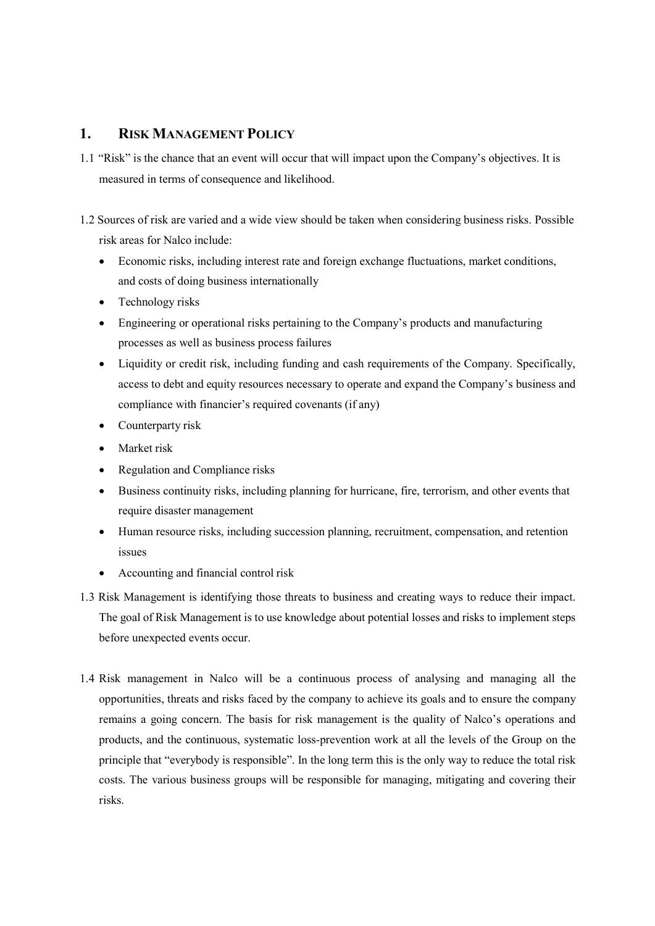## 1. RISK MANAGEMENT POLICY

- 1.1 "Risk" is the chance that an event will occur that will impact upon the Company's objectives. It is measured in terms of consequence and likelihood.
- 1.2 Sources of risk are varied and a wide view should be taken when considering business risks. Possible risk areas for Nalco include:
	- Economic risks, including interest rate and foreign exchange fluctuations, market conditions, and costs of doing business internationally
	- Technology risks
	- Engineering or operational risks pertaining to the Company's products and manufacturing processes as well as business process failures
	- Liquidity or credit risk, including funding and cash requirements of the Company. Specifically, access to debt and equity resources necessary to operate and expand the Company's business and compliance with financier's required covenants (if any)
	- Counterparty risk
	- Market risk
	- Regulation and Compliance risks
	- Business continuity risks, including planning for hurricane, fire, terrorism, and other events that require disaster management
	- Human resource risks, including succession planning, recruitment, compensation, and retention issues
	- Accounting and financial control risk
- 1.3 Risk Management is identifying those threats to business and creating ways to reduce their impact. The goal of Risk Management is to use knowledge about potential losses and risks to implement steps before unexpected events occur.
- 1.4 Risk management in Nalco will be a continuous process of analysing and managing all the opportunities, threats and risks faced by the company to achieve its goals and to ensure the company remains a going concern. The basis for risk management is the quality of Nalco's operations and products, and the continuous, systematic loss-prevention work at all the levels of the Group on the principle that "everybody is responsible". In the long term this is the only way to reduce the total risk costs. The various business groups will be responsible for managing, mitigating and covering their risks.